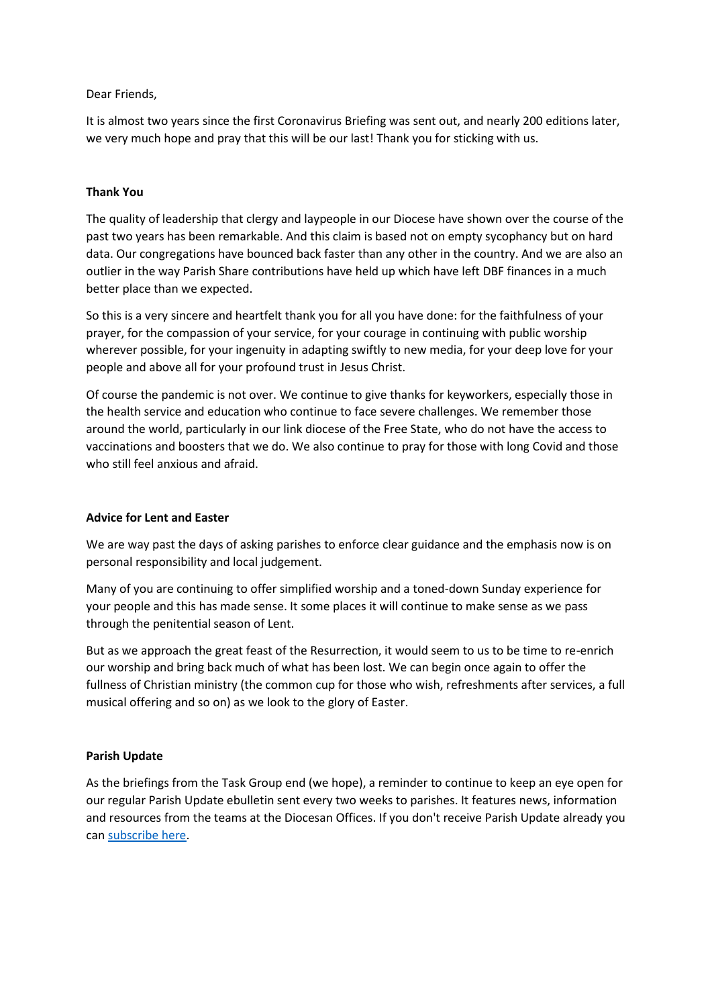### Dear Friends,

It is almost two years since the first Coronavirus Briefing was sent out, and nearly 200 editions later, we very much hope and pray that this will be our last! Thank you for sticking with us.

## **Thank You**

The quality of leadership that clergy and laypeople in our Diocese have shown over the course of the past two years has been remarkable. And this claim is based not on empty sycophancy but on hard data. Our congregations have bounced back faster than any other in the country. And we are also an outlier in the way Parish Share contributions have held up which have left DBF finances in a much better place than we expected.

So this is a very sincere and heartfelt thank you for all you have done: for the faithfulness of your prayer, for the compassion of your service, for your courage in continuing with public worship wherever possible, for your ingenuity in adapting swiftly to new media, for your deep love for your people and above all for your profound trust in Jesus Christ.

Of course the pandemic is not over. We continue to give thanks for keyworkers, especially those in the health service and education who continue to face severe challenges. We remember those around the world, particularly in our link diocese of the Free State, who do not have the access to vaccinations and boosters that we do. We also continue to pray for those with long Covid and those who still feel anxious and afraid.

### **Advice for Lent and Easter**

We are way past the days of asking parishes to enforce clear guidance and the emphasis now is on personal responsibility and local judgement.

Many of you are continuing to offer simplified worship and a toned-down Sunday experience for your people and this has made sense. It some places it will continue to make sense as we pass through the penitential season of Lent.

But as we approach the great feast of the Resurrection, it would seem to us to be time to re-enrich our worship and bring back much of what has been lost. We can begin once again to offer the fullness of Christian ministry (the common cup for those who wish, refreshments after services, a full musical offering and so on) as we look to the glory of Easter.

### **Parish Update**

As the briefings from the Task Group end (we hope), a reminder to continue to keep an eye open for our regular Parish Update ebulletin sent every two weeks to parishes. It features news, information and resources from the teams at the Diocesan Offices. If you don't receive Parish Update already you can [subscribe here.](https://anglican.us18.list-manage.com/subscribe?u=c909d7a6bf51b1e3eae483ed9&id=819e9cc8f1)